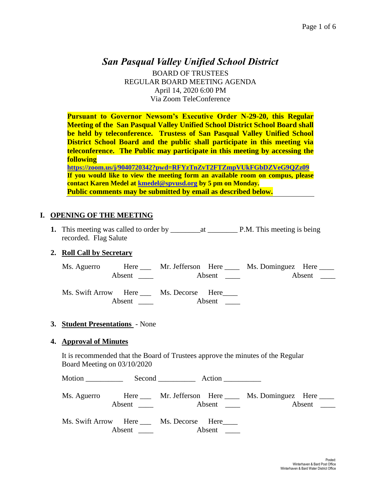# *San Pasqual Valley Unified School District*

BOARD OF TRUSTEES REGULAR BOARD MEETING AGENDA April 14, 2020 6:00 PM Via Zoom TeleConference

**Pursuant to Governor Newsom's Executive Order N-29-20, this Regular Meeting of the San Pasqual Valley Unified School District School Board shall be held by teleconference. Trustess of San Pasqual Valley Unified School District School Board and the public shall participate in this meeting via teleconference. The Public may participate in this meeting by accessing the following <https://zoom.us/j/9040720342?pwd=RFYzTnZvT2FTZmpVUkFGbDZVeG9QZz09> If you would like to view the meeting form an available room on compus, please contact Karen Medel at [kmedel@spvusd.org](mailto:kmedel@spvusd.org) by 5 pm on Monday.** 

# **I. OPENING OF THE MEETING**

**1.** This meeting was called to order by  $\qquad$  at  $\qquad$  P.M. This meeting is being recorded. Flag Salute

**Public comments may be submitted by email as described below.** 

## **2. Roll Call by Secretary**

Ms. Aguerro Here \_\_\_ Mr. Jefferson Here \_\_\_\_ Ms. Dominguez Here \_\_\_\_ Absent \_\_\_\_ Absent \_\_\_\_ Absent \_\_\_\_ Absent \_\_\_\_ Ms. Swift Arrow Here \_\_\_ Ms. Decorse Here\_\_\_\_ Absent Absent \_

#### **3. Student Presentations** - None

#### **4. Approval of Minutes**

It is recommended that the Board of Trustees approve the minutes of the Regular Board Meeting on 03/10/2020

| Motion $\qquad$ | $Second$ $\_\_\_\_$ Action                                      |                                                                                          |
|-----------------|-----------------------------------------------------------------|------------------------------------------------------------------------------------------|
|                 |                                                                 | Ms. Aguerro Here ____ Mr. Jefferson Here ____ Ms. Dominguez Here ____<br>Absent $\qquad$ |
|                 | Ms. Swift Arrow Here ____ Ms. Decorse Here____<br>Absent Absent |                                                                                          |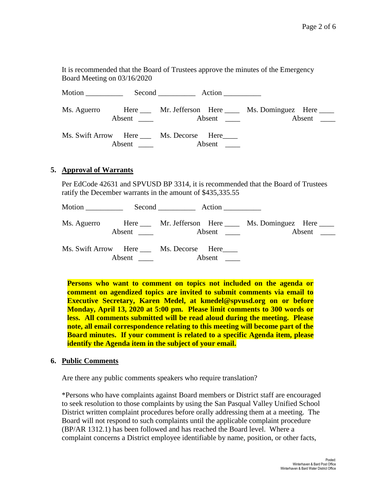It is recommended that the Board of Trustees approve the minutes of the Emergency Board Meeting on 03/16/2020

Motion Second Action Ms. Aguerro Here Mr. Jefferson Here Ms. Dominguez Here Absent \_\_\_\_ Absent \_\_\_ Absent \_\_\_\_ Absent \_\_\_ Ms. Swift Arrow Here \_\_\_ Ms. Decorse Here\_\_\_\_ Absent Absent

#### **5. Approval of Warrants**

Per EdCode 42631 and SPVUSD BP 3314, it is recommended that the Board of Trustees ratify the December warrants in the amount of \$435,335.55

Motion Second Action Ms. Aguerro Here Mr. Jefferson Here Ms. Dominguez Here Absent \_\_\_\_ Absent \_\_\_\_ Absent \_\_\_\_ Absent \_\_\_\_ Ms. Swift Arrow Here Ms. Decorse Here Absent \_\_\_\_ Absent \_\_\_

**Persons who want to comment on topics not included on the agenda or comment on agendized topics are invited to submit comments via email to Executive Secretary, Karen Medel, at kmedel@spvusd.org on or before Monday, April 13, 2020 at 5:00 pm. Please limit comments to 300 words or less. All comments submitted will be read aloud during the meeting. Please note, all email correspondence relating to this meeting will become part of the Board minutes. If your comment is related to a specific Agenda item, please identify the Agenda item in the subject of your email.**

#### **6. Public Comments**

Are there any public comments speakers who require translation?

\*Persons who have complaints against Board members or District staff are encouraged to seek resolution to those complaints by using the San Pasqual Valley Unified School District written complaint procedures before orally addressing them at a meeting. The Board will not respond to such complaints until the applicable complaint procedure (BP/AR 1312.1) has been followed and has reached the Board level. Where a complaint concerns a District employee identifiable by name, position, or other facts,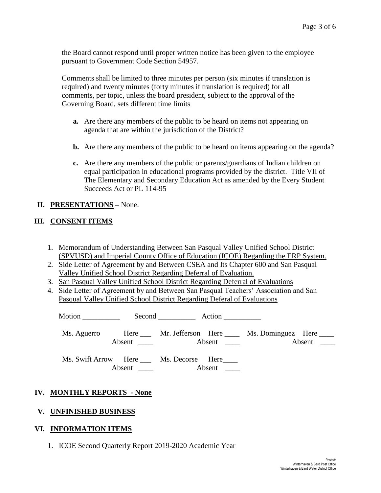the Board cannot respond until proper written notice has been given to the employee pursuant to Government Code Section 54957.

Comments shall be limited to three minutes per person (six minutes if translation is required) and twenty minutes (forty minutes if translation is required) for all comments, per topic, unless the board president, subject to the approval of the Governing Board, sets different time limits

- **a.** Are there any members of the public to be heard on items not appearing on agenda that are within the jurisdiction of the District?
- **b.** Are there any members of the public to be heard on items appearing on the agenda?
- **c.** Are there any members of the public or parents/guardians of Indian children on equal participation in educational programs provided by the district. Title VII of The Elementary and Secondary Education Act as amended by the Every Student Succeeds Act or PL 114-95

## **II. PRESENTATIONS –** None.

## **III. CONSENT ITEMS**

- 1. Memorandum of Understanding Between San Pasqual Valley Unified School District (SPVUSD) and Imperial County Office of Education (ICOE) Regarding the ERP System.
- 2. Side Letter of Agreement by and Between CSEA and Its Chapter 600 and San Pasqual Valley Unified School District Regarding Deferral of Evaluation.
- 3. San Pasqual Valley Unified School District Regarding Deferral of Evaluations
- 4. Side Letter of Agreement by and Between San Pasqual Teachers' Association and San Pasqual Valley Unified School District Regarding Deferal of Evaluations

| Motion $\_\_$ |  | $Second$ $Action$                              |                                                                  |
|---------------|--|------------------------------------------------|------------------------------------------------------------------|
|               |  |                                                | Ms. Aguerro Here Mr. Jefferson Here Ms. Dominguez Here<br>Absent |
|               |  | Ms. Swift Arrow Here ____ Ms. Decorse Here____ |                                                                  |

## **IV. MONTHLY REPORTS - None**

## **V. UNFINISHED BUSINESS**

## **VI. INFORMATION ITEMS**

1. ICOE Second Quarterly Report 2019-2020 Academic Year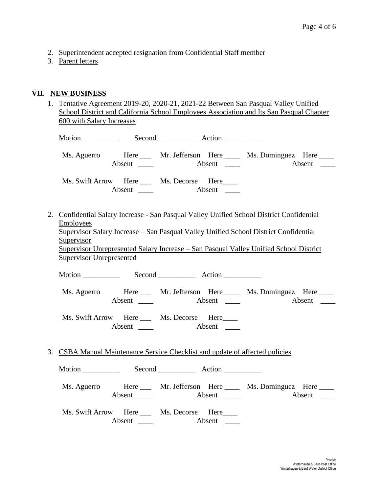- 2. Superintendent accepted resignation from Confidential Staff member
- 3. Parent letters

## **VII. NEW BUSINESS**

| 1. Tentative Agreement 2019-20, 2020-21, 2021-22 Between San Pasqual Valley Unified     |
|-----------------------------------------------------------------------------------------|
| School District and California School Employees Association and Its San Pasqual Chapter |
| 600 with Salary Increases                                                               |
|                                                                                         |

| Ms. Aguerro                                                                  | Absent $\_\_$                                                 | Absent | Here Mr. Jefferson Here Ms. Dominguez Here                                                                                                                                                                                                                                 | Absent |
|------------------------------------------------------------------------------|---------------------------------------------------------------|--------|----------------------------------------------------------------------------------------------------------------------------------------------------------------------------------------------------------------------------------------------------------------------------|--------|
|                                                                              | Ms. Swift Arrow Here Ms. Decorse Here                         |        |                                                                                                                                                                                                                                                                            |        |
| <b>Employees</b><br><u>Supervisor</u><br><b>Supervisor Unrepresented</b>     |                                                               |        | 2. Confidential Salary Increase - San Pasqual Valley Unified School District Confidential<br>Supervisor Salary Increase – San Pasqual Valley Unified School District Confidential<br>Supervisor Unrepresented Salary Increase – San Pasqual Valley Unified School District |        |
| Motion Second Record Action                                                  |                                                               |        |                                                                                                                                                                                                                                                                            |        |
|                                                                              |                                                               |        | Ms. Aguerro Here Mr. Jefferson Here Ms. Dominguez Here                                                                                                                                                                                                                     |        |
|                                                                              | Ms. Swift Arrow Here Ms. Decorse Here<br>Absent $\frac{ }{ }$ | Absent |                                                                                                                                                                                                                                                                            |        |
| 3. CSBA Manual Maintenance Service Checklist and update of affected policies |                                                               |        |                                                                                                                                                                                                                                                                            |        |
|                                                                              |                                                               |        |                                                                                                                                                                                                                                                                            |        |
| Ms. Aguerro                                                                  | Absent $\qquad$                                               |        | Here Mr. Jefferson Here Ms. Dominguez Here                                                                                                                                                                                                                                 |        |
|                                                                              | Ms. Swift Arrow Here Ms. Decorse Here                         |        |                                                                                                                                                                                                                                                                            |        |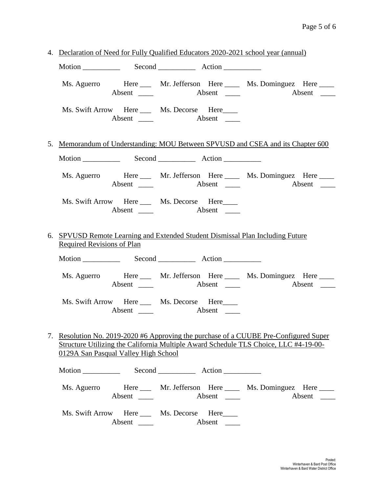|  | 4. Declaration of Need for Fully Qualified Educators 2020-2021 school year (annual)                                                                                                                                   |                                                                                |                                                          |                                                                                 |  |  |
|--|-----------------------------------------------------------------------------------------------------------------------------------------------------------------------------------------------------------------------|--------------------------------------------------------------------------------|----------------------------------------------------------|---------------------------------------------------------------------------------|--|--|
|  |                                                                                                                                                                                                                       |                                                                                |                                                          |                                                                                 |  |  |
|  |                                                                                                                                                                                                                       |                                                                                |                                                          | Ms. Aguerro Here Mr. Jefferson Here Ms. Dominguez Here<br>Absent                |  |  |
|  |                                                                                                                                                                                                                       |                                                                                | Ms. Swift Arrow Here Ms. Decorse Here                    |                                                                                 |  |  |
|  |                                                                                                                                                                                                                       |                                                                                |                                                          | 5. Memorandum of Understanding: MOU Between SPVUSD and CSEA and its Chapter 600 |  |  |
|  |                                                                                                                                                                                                                       |                                                                                |                                                          |                                                                                 |  |  |
|  |                                                                                                                                                                                                                       |                                                                                |                                                          | Ms. Aguerro Here Mr. Jefferson Here Ms. Dominguez Here                          |  |  |
|  |                                                                                                                                                                                                                       |                                                                                | Ms. Swift Arrow Here Ms. Decorse Here                    |                                                                                 |  |  |
|  | <b>Required Revisions of Plan</b>                                                                                                                                                                                     | 6. SPVUSD Remote Learning and Extended Student Dismissal Plan Including Future |                                                          |                                                                                 |  |  |
|  |                                                                                                                                                                                                                       |                                                                                |                                                          |                                                                                 |  |  |
|  |                                                                                                                                                                                                                       |                                                                                |                                                          | Ms. Aguerro Here Mr. Jefferson Here Ms. Dominguez Here<br>Absent                |  |  |
|  |                                                                                                                                                                                                                       | Absent $\_\_$                                                                  | Ms. Swift Arrow Here Ms. Decorse Here                    |                                                                                 |  |  |
|  | 7. Resolution No. 2019-2020 #6 Approving the purchase of a CUUBE Pre-Configured Super<br>Structure Utilizing the California Multiple Award Schedule TLS Choice, LLC #4-19-00-<br>0129A San Pasqual Valley High School |                                                                                |                                                          |                                                                                 |  |  |
|  |                                                                                                                                                                                                                       |                                                                                | Motion Second Record Action                              |                                                                                 |  |  |
|  |                                                                                                                                                                                                                       | Absent $\_\_$                                                                  |                                                          | Ms. Aguerro Here Mr. Jefferson Here Ms. Dominguez Here                          |  |  |
|  |                                                                                                                                                                                                                       |                                                                                | Ms. Swift Arrow Here Ms. Decorse Here<br>Absent $\qquad$ |                                                                                 |  |  |